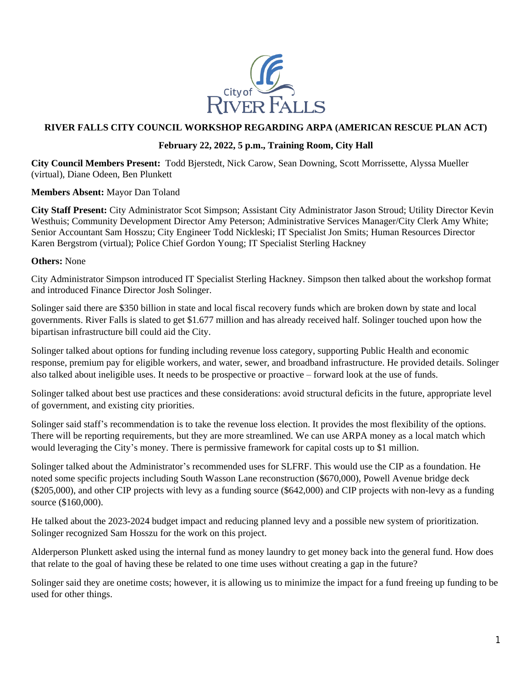

## **RIVER FALLS CITY COUNCIL WORKSHOP REGARDING ARPA (AMERICAN RESCUE PLAN ACT)**

## **February 22, 2022, 5 p.m., Training Room, City Hall**

**City Council Members Present:** Todd Bjerstedt, Nick Carow, Sean Downing, Scott Morrissette, Alyssa Mueller (virtual), Diane Odeen, Ben Plunkett

## **Members Absent:** Mayor Dan Toland

**City Staff Present:** City Administrator Scot Simpson; Assistant City Administrator Jason Stroud; Utility Director Kevin Westhuis; Community Development Director Amy Peterson; Administrative Services Manager/City Clerk Amy White; Senior Accountant Sam Hosszu; City Engineer Todd Nickleski; IT Specialist Jon Smits; Human Resources Director Karen Bergstrom (virtual); Police Chief Gordon Young; IT Specialist Sterling Hackney

## **Others:** None

City Administrator Simpson introduced IT Specialist Sterling Hackney. Simpson then talked about the workshop format and introduced Finance Director Josh Solinger.

Solinger said there are \$350 billion in state and local fiscal recovery funds which are broken down by state and local governments. River Falls is slated to get \$1.677 million and has already received half. Solinger touched upon how the bipartisan infrastructure bill could aid the City.

Solinger talked about options for funding including revenue loss category, supporting Public Health and economic response, premium pay for eligible workers, and water, sewer, and broadband infrastructure. He provided details. Solinger also talked about ineligible uses. It needs to be prospective or proactive – forward look at the use of funds.

Solinger talked about best use practices and these considerations: avoid structural deficits in the future, appropriate level of government, and existing city priorities.

Solinger said staff's recommendation is to take the revenue loss election. It provides the most flexibility of the options. There will be reporting requirements, but they are more streamlined. We can use ARPA money as a local match which would leveraging the City's money. There is permissive framework for capital costs up to \$1 million.

Solinger talked about the Administrator's recommended uses for SLFRF. This would use the CIP as a foundation. He noted some specific projects including South Wasson Lane reconstruction (\$670,000), Powell Avenue bridge deck (\$205,000), and other CIP projects with levy as a funding source (\$642,000) and CIP projects with non-levy as a funding source (\$160,000).

He talked about the 2023-2024 budget impact and reducing planned levy and a possible new system of prioritization. Solinger recognized Sam Hosszu for the work on this project.

Alderperson Plunkett asked using the internal fund as money laundry to get money back into the general fund. How does that relate to the goal of having these be related to one time uses without creating a gap in the future?

Solinger said they are onetime costs; however, it is allowing us to minimize the impact for a fund freeing up funding to be used for other things.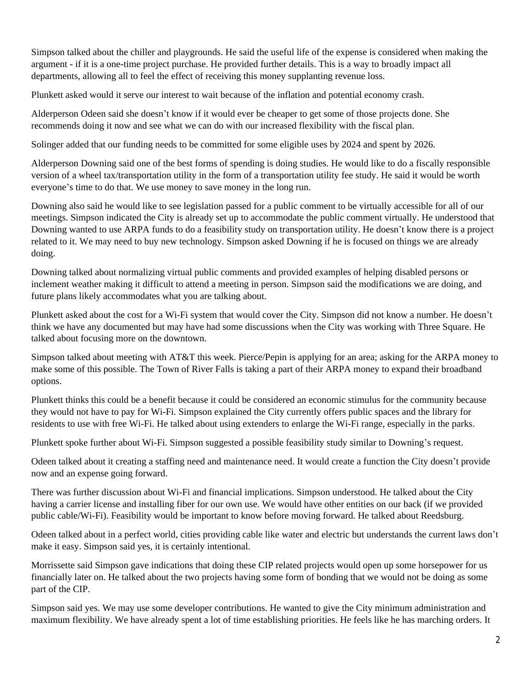Simpson talked about the chiller and playgrounds. He said the useful life of the expense is considered when making the argument - if it is a one-time project purchase. He provided further details. This is a way to broadly impact all departments, allowing all to feel the effect of receiving this money supplanting revenue loss.

Plunkett asked would it serve our interest to wait because of the inflation and potential economy crash.

Alderperson Odeen said she doesn't know if it would ever be cheaper to get some of those projects done. She recommends doing it now and see what we can do with our increased flexibility with the fiscal plan.

Solinger added that our funding needs to be committed for some eligible uses by 2024 and spent by 2026.

Alderperson Downing said one of the best forms of spending is doing studies. He would like to do a fiscally responsible version of a wheel tax/transportation utility in the form of a transportation utility fee study. He said it would be worth everyone's time to do that. We use money to save money in the long run.

Downing also said he would like to see legislation passed for a public comment to be virtually accessible for all of our meetings. Simpson indicated the City is already set up to accommodate the public comment virtually. He understood that Downing wanted to use ARPA funds to do a feasibility study on transportation utility. He doesn't know there is a project related to it. We may need to buy new technology. Simpson asked Downing if he is focused on things we are already doing.

Downing talked about normalizing virtual public comments and provided examples of helping disabled persons or inclement weather making it difficult to attend a meeting in person. Simpson said the modifications we are doing, and future plans likely accommodates what you are talking about.

Plunkett asked about the cost for a Wi-Fi system that would cover the City. Simpson did not know a number. He doesn't think we have any documented but may have had some discussions when the City was working with Three Square. He talked about focusing more on the downtown.

Simpson talked about meeting with AT&T this week. Pierce/Pepin is applying for an area; asking for the ARPA money to make some of this possible. The Town of River Falls is taking a part of their ARPA money to expand their broadband options.

Plunkett thinks this could be a benefit because it could be considered an economic stimulus for the community because they would not have to pay for Wi-Fi. Simpson explained the City currently offers public spaces and the library for residents to use with free Wi-Fi. He talked about using extenders to enlarge the Wi-Fi range, especially in the parks.

Plunkett spoke further about Wi-Fi. Simpson suggested a possible feasibility study similar to Downing's request.

Odeen talked about it creating a staffing need and maintenance need. It would create a function the City doesn't provide now and an expense going forward.

There was further discussion about Wi-Fi and financial implications. Simpson understood. He talked about the City having a carrier license and installing fiber for our own use. We would have other entities on our back (if we provided public cable/Wi-Fi). Feasibility would be important to know before moving forward. He talked about Reedsburg.

Odeen talked about in a perfect world, cities providing cable like water and electric but understands the current laws don't make it easy. Simpson said yes, it is certainly intentional.

Morrissette said Simpson gave indications that doing these CIP related projects would open up some horsepower for us financially later on. He talked about the two projects having some form of bonding that we would not be doing as some part of the CIP.

Simpson said yes. We may use some developer contributions. He wanted to give the City minimum administration and maximum flexibility. We have already spent a lot of time establishing priorities. He feels like he has marching orders. It